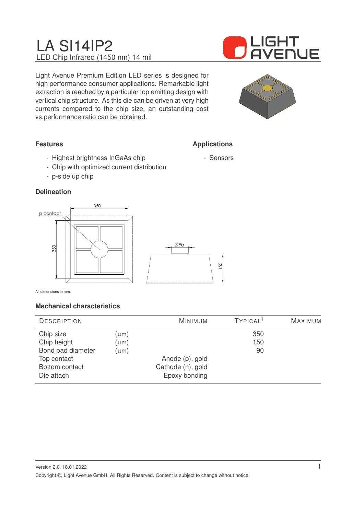# LA SI14IP2 LED Chip Infrared (1450 nm) 14 mil



Light Avenue Premium Edition LED series is designed for high performance consumer applications. Remarkable light extraction is reached by a particular top emitting design with vertical chip structure. As this die can be driven at very high currents compared to the chip size, an outstanding cost vs.performance ratio can be obtained.



**Applications**

- Sensors

## **Features**

- Highest brightness InGaAs chip
- Chip with optimized current distribution
- p-side up chip

## **Delineation**



All dimensions in mm.

## **Mechanical characteristics**

| <b>DESCRIPTION</b> |           | <b>MINIMUM</b>    | TYPICAL <sup>1</sup> | MAXIMUM |
|--------------------|-----------|-------------------|----------------------|---------|
| Chip size          | (µm)      |                   | 350                  |         |
| Chip height        | (µm)      |                   | 150                  |         |
| Bond pad diameter  | $(\mu m)$ |                   | 90                   |         |
| Top contact        |           | Anode (p), gold   |                      |         |
| Bottom contact     |           | Cathode (n), gold |                      |         |
| Die attach         |           | Epoxy bonding     |                      |         |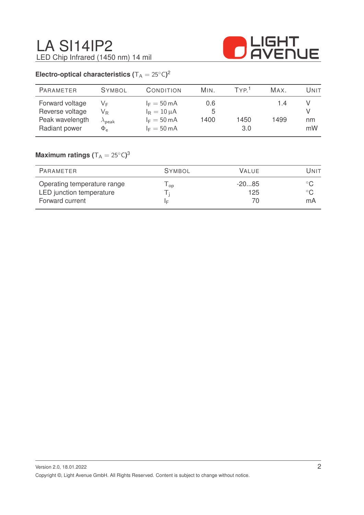

## **Electro-optical characteristics (** $T_A = 25^{\circ}C$ )<sup>2</sup>

| <b>PARAMETER</b>                                                       | <b>SYMBOL</b>                                                           | CONDITION                                                                                   | MIN.             | TYP <sup>1</sup> | MAX.        | Unit     |
|------------------------------------------------------------------------|-------------------------------------------------------------------------|---------------------------------------------------------------------------------------------|------------------|------------------|-------------|----------|
| Forward voltage<br>Reverse voltage<br>Peak wavelength<br>Radiant power | VF<br>$\mathsf{V}_\mathsf{R}$<br>$\lambda_{\sf peak}$<br>$\Phi_{\rm e}$ | $I_F = 50 \text{ mA}$<br>$I_R = 10 \mu A$<br>$I_F = 50 \text{ mA}$<br>$I_F = 50 \text{ mA}$ | 0.6<br>5<br>1400 | 1450<br>3.0      | 1.4<br>1499 | nm<br>mW |

## $\mathsf{Maximum}$  ratings  $(\mathsf{T_A} = 25^\circ\mathsf{C})^3$

| PARAMETER                                                                  | <b>SYMBOL</b> | VALUE.         | Unit |
|----------------------------------------------------------------------------|---------------|----------------|------|
| Operating temperature range<br>LED junction temperature<br>Forward current | l op<br>١F    | $-2085$<br>125 | mA   |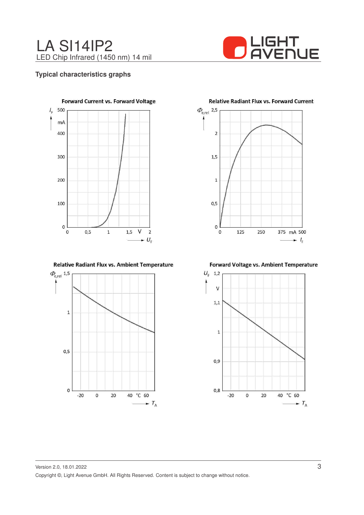



#### **Typical characteristics graphs**



Relative Radiant Flux vs. Ambient Temperature



**Relative Radiant Flux vs. Forward Current** 



Forward Voltage vs. Ambient Temperature

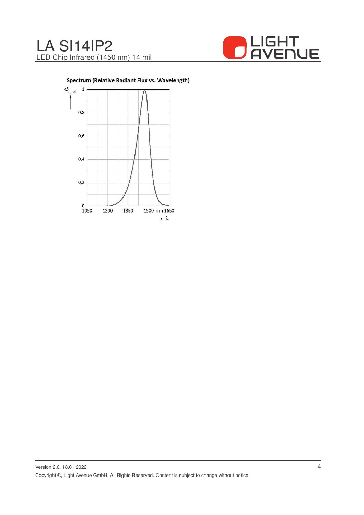



Spectrum (Relative Radiant Flux vs. Wavelength)

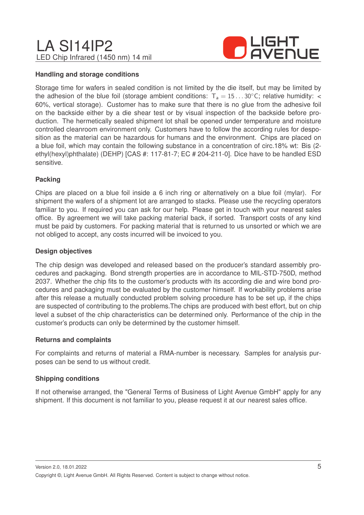## LA SI14IP2 LED Chip Infrared (1450 nm) 14 mil



#### **Handling and storage conditions**

Storage time for wafers in sealed condition is not limited by the die itself, but may be limited by the adhesion of the blue foil (storage ambient conditions:  $T_a = 15...30^\circ$ C; relative humidity: < 60%, vertical storage). Customer has to make sure that there is no glue from the adhesive foil on the backside either by a die shear test or by visual inspection of the backside before production. The hermetically sealed shipment lot shall be opened under temperature and moisture controlled cleanroom environment only. Customers have to follow the according rules for desposition as the material can be hazardous for humans and the environment. Chips are placed on a blue foil, which may contain the following substance in a concentration of circ.18% wt: Bis (2 ethyl(hexyl)phthalate) (DEHP) [CAS #: 117-81-7; EC # 204-211-0]. Dice have to be handled ESD sensitive.

#### **Packing**

Chips are placed on a blue foil inside a 6 inch ring or alternatively on a blue foil (mylar). For shipment the wafers of a shipment lot are arranged to stacks. Please use the recycling operators familiar to you. If required you can ask for our help. Please get in touch with your nearest sales office. By agreement we will take packing material back, if sorted. Transport costs of any kind must be paid by customers. For packing material that is returned to us unsorted or which we are not obliged to accept, any costs incurred will be invoiced to you.

#### **Design objectives**

The chip design was developed and released based on the producer's standard assembly procedures and packaging. Bond strength properties are in accordance to MIL-STD-750D, method 2037. Whether the chip fits to the customer's products with its according die and wire bond procedures and packaging must be evaluated by the customer himself. If workability problems arise after this release a mutually conducted problem solving procedure has to be set up, if the chips are suspected of contributing to the problems.The chips are produced with best effort, but on chip level a subset of the chip characteristics can be determined only. Performance of the chip in the customer's products can only be determined by the customer himself.

#### **Returns and complaints**

For complaints and returns of material a RMA-number is necessary. Samples for analysis purposes can be send to us without credit.

#### **Shipping conditions**

If not otherwise arranged, the "General Terms of Business of Light Avenue GmbH" apply for any shipment. If this document is not familiar to you, please request it at our nearest sales office.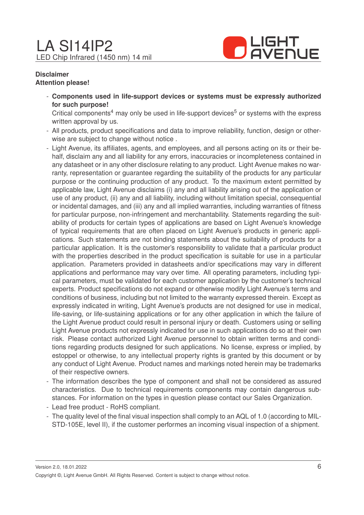

#### **Disclaimer Attention please!**

- **Components used in life-support devices or systems must be expressly authorized for such purpose!**

Critical components<sup>4</sup> may only be used in life-support devices<sup>5</sup> or systems with the express written approval by us.

- All products, product specifications and data to improve reliability, function, design or otherwise are subject to change without notice .
- Light Avenue, its affiliates, agents, and employees, and all persons acting on its or their behalf, disclaim any and all liability for any errors, inaccuracies or incompleteness contained in any datasheet or in any other disclosure relating to any product. Light Avenue makes no warranty, representation or guarantee regarding the suitability of the products for any particular purpose or the continuing production of any product. To the maximum extent permitted by applicable law, Light Avenue disclaims (i) any and all liability arising out of the application or use of any product, (ii) any and all liability, including without limitation special, consequential or incidental damages, and (iii) any and all implied warranties, including warranties of fitness for particular purpose, non-infringement and merchantability. Statements regarding the suitability of products for certain types of applications are based on Light Avenue's knowledge of typical requirements that are often placed on Light Avenue's products in generic applications. Such statements are not binding statements about the suitability of products for a particular application. It is the customer's responsibility to validate that a particular product with the properties described in the product specification is suitable for use in a particular application. Parameters provided in datasheets and/or specifications may vary in different applications and performance may vary over time. All operating parameters, including typical parameters, must be validated for each customer application by the customer's technical experts. Product specifications do not expand or otherwise modify Light Avenue's terms and conditions of business, including but not limited to the warranty expressed therein. Except as expressly indicated in writing, Light Avenue's products are not designed for use in medical, life-saving, or life-sustaining applications or for any other application in which the failure of the Light Avenue product could result in personal injury or death. Customers using or selling Light Avenue products not expressly indicated for use in such applications do so at their own risk. Please contact authorized Light Avenue personnel to obtain written terms and conditions regarding products designed for such applications. No license, express or implied, by estoppel or otherwise, to any intellectual property rights is granted by this document or by any conduct of Light Avenue. Product names and markings noted herein may be trademarks of their respective owners.
- The information describes the type of component and shall not be considered as assured characteristics. Due to technical requirements components may contain dangerous substances. For information on the types in question please contact our Sales Organization.
- Lead free product RoHS compliant.
- The quality level of the final visual inspection shall comply to an AQL of 1.0 (according to MIL-STD-105E, level II), if the customer performes an incoming visual inspection of a shipment.